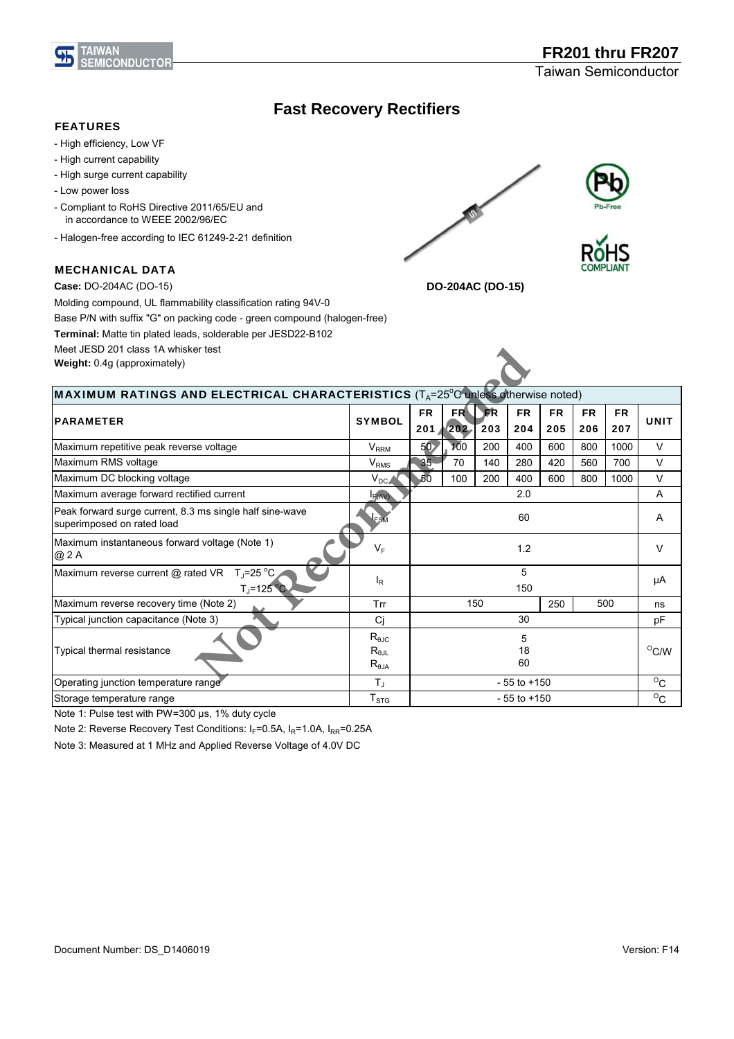

## **Fast Recovery Rectifiers**

#### - High efficiency, Low VF - High current capability - High surge current capability - Low power loss - Halogen-free according to IEC 61249-2-21 definition Molding compound, UL flammability classification rating 94V-0 Base P/N with suffix "G" on packing code - green compound (halogen-free) **Terminal:** Matte tin plated leads, solderable per JESD22-B102 Meet JESD 201 class 1A whisker test V<sub>RRM</sub> | 50 | 100 | 200 | 400 | 600 | 800 | 1000 | V V<sub>RMS</sub> 35 70 140 280 420 560 700 V  $\rm V_{DC}$  50 | 100 | 200 | 400 | 600 | 800 | 1000 |  $\,$  V  $I_{\text{F(AV)}}$  and  $I_{\text{F(AV)}}$  and  $I_{\text{F(AV)}}$  and  $I_{\text{F(AV)}}$  and  $I_{\text{F(AV)}}$  and  $I_{\text{F(AV)}}$  and  $I_{\text{F(AV)}}$  and  $I_{\text{F(AV)}}$  and  $I_{\text{F(AV)}}$  and  $I_{\text{F(AV)}}$  and  $I_{\text{F(AV)}}$  and  $I_{\text{F(AV)}}$  and  $I_{\text{F(AV)}}$  and  $I_{\text{F(AV)}}$  a A Maximum instantaneous forward voltage (Note 1)  $\omega$  2 A and the standard contage (in the 1)  $V_F$   $V_F$  1.2 1.2  $V$ Maximum reverse current @ rated VR  $T_{J}$ =25 °C  $T = 125$ C  $\mathsf{I}_\mathsf{R}$ 5 μA 150 Maximum DC blocking voltage Maximum average forward rectified current and the state of the latter and 2.0 Peak forward surge current, 8.3 ms single half sine-wave Peak forward surge current, 8.3 ms single half sine-wave<br>superimposed on rated load 60 FR 205 FR 206 FR 207 UNIT Maximum repetitive peak reverse voltage Maximum RMS voltage **Case:** DO-204AC (DO-15) **DO-204AC (DO-15) Weight:** 0.4g (approximately) MAXIMUM RATINGS AND ELECTRICAL CHARACTERISTICS (T<sub>A</sub>=25<sup>o</sup>C unless otherwise noted) PARAMETER SYMBOL FR 201 FR 202 **FR** 203 FR 204 FEATURES - Compliant to RoHS Directive 2011/65/EU and in accordance to WEEE 2002/96/EC MECHANICAL DATA Friest<br> **Note Control CHARACTERISTICS** (T<sub>A</sub>=25<sup>°C</sup>) unless otherwise<br>
symmetric Street Street Street Street Street Street Street Street Street Street Street Street Street Street Street Street Street Street Street Street S

Trr | 150 | 250 | 500 | ns Cj let 30 let pF  $T_{\rm J}$  $T_{STG}$ Typical thermal resistance  $R_{\theta$ JC  $R_{\theta JL}$  $R_{\theta JA}$ 5 18 60 Operating junction temperature range  $\overline{I}$   $\overline{I}$   $\overline{I}$   $\overline{I}$   $\overline{I}$   $\overline{I}$   $\overline{I}$   $\overline{I}$   $\overline{I}$   $\overline{I}$   $\overline{I}$   $\overline{I}$   $\overline{I}$   $\overline{I}$   $\overline{I}$   $\overline{I}$   $\overline{I}$   $\overline{I}$   $\overline{I}$   $\overline{I}$   $\overline$ Storage temperature range and the state of the storage of the storage temperature range of the state of the storage of the storage of the storage of the storage of the storage of the storage of the storage of the storage o Maximum reverse recovery time (Note 2) 150 Trr | 150 | 250 | 500 Typical junction capacitance (Note 3) 30

Note 1: Pulse test with PW=300 μs, 1% duty cycle

Note 2: Reverse Recovery Test Conditions:  $I_F=0.5A$ ,  $I_R=1.0A$ ,  $I_{RR}=0.25A$ 

Note 3: Measured at 1 MHz and Applied Reverse Voltage of 4.0V DC

 $\overline{O}$ C

 $^{\circ}$ C/W

 $\rm ^{O}C$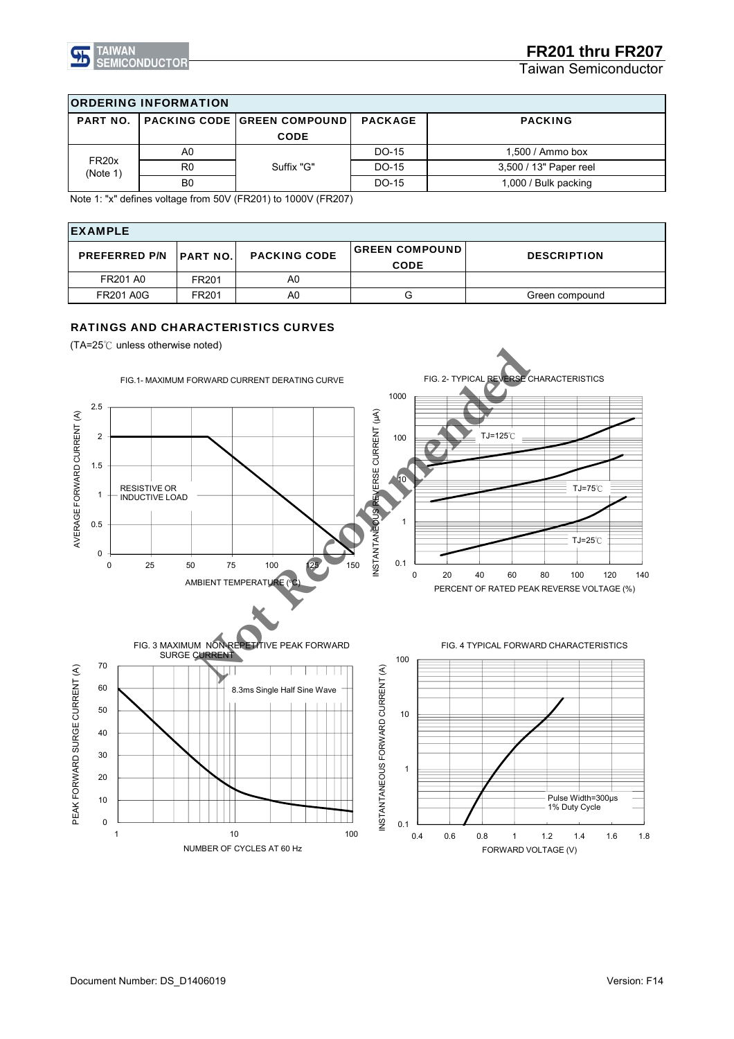

Taiwan Semiconductor

| <b>ORDERING INFORMATION</b>   |                |                               |                |                        |  |  |  |
|-------------------------------|----------------|-------------------------------|----------------|------------------------|--|--|--|
| <b>PART NO.</b>               |                | PACKING CODE   GREEN COMPOUND | <b>PACKAGE</b> | <b>PACKING</b>         |  |  |  |
|                               |                | <b>CODE</b>                   |                |                        |  |  |  |
| FR <sub>20x</sub><br>(Note 1) | A0             | Suffix "G"                    | DO-15          | $1,500/$ Ammo box      |  |  |  |
|                               | R0             |                               | DO-15          | 3,500 / 13" Paper reel |  |  |  |
|                               | B <sub>0</sub> |                               | DO-15          | 1,000 / Bulk packing   |  |  |  |

Note 1: "x" defines voltage from 50V (FR201) to 1000V (FR207)

| <b>IEXAMPLE</b>                  |       |                     |                                      |                    |  |  |  |
|----------------------------------|-------|---------------------|--------------------------------------|--------------------|--|--|--|
| <b>PREFERRED P/N   PART NO. </b> |       | <b>PACKING CODE</b> | <b>GREEN COMPOUND</b><br><b>CODE</b> | <b>DESCRIPTION</b> |  |  |  |
| <b>FR201 A0</b>                  | FR201 | A0                  |                                      |                    |  |  |  |
| <b>FR201 A0G</b>                 | FR201 | A0                  | G                                    | Green compound     |  |  |  |

### RATINGS AND CHARACTERISTICS CURVES

(TA=25℃ unless otherwise noted)

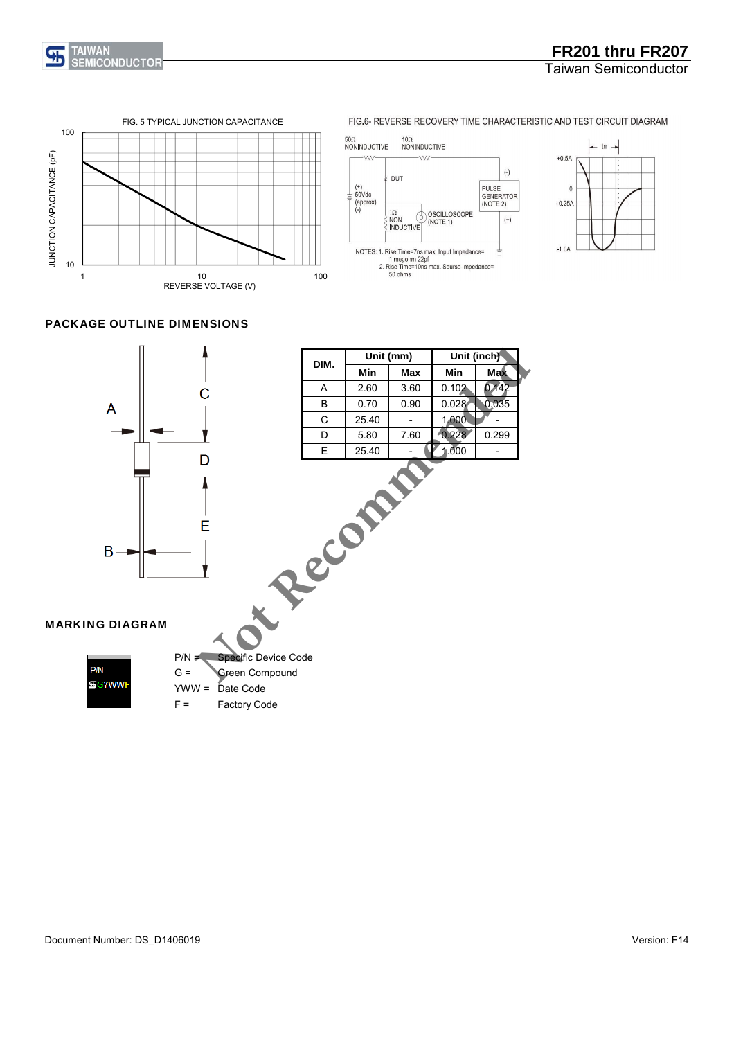



FIG.6- REVERSE RECOVERY TIME CHARACTERISTIC AND TEST CIRCUIT DIAGRAM

#### 50Ω<br>NONINDUCTIVE 10Ω<br>NONINDUCTIVE **VVV**  $\sqrt{\Lambda}$  $(\hbox{-})$ **DUT** (+)<br>50Vdc<br>(approx)<br>(-) **PULSE** GENERATOR<br>(NOTE 2) OSCILLOSCOPE<br>(NOTE 1)  $1\Omega$  $\sigma$  $^{(+)}$ **NON** INDUCTIVE NOTES: 1. Rise Time=7ns max. Input Impedance=<br>1 megohm 22pf<br>2. Rise Time=10ns max. Sourse Impedance=<br>50 ohms  $\equiv$



## PACKAGE OUTLINE DIMENSIONS

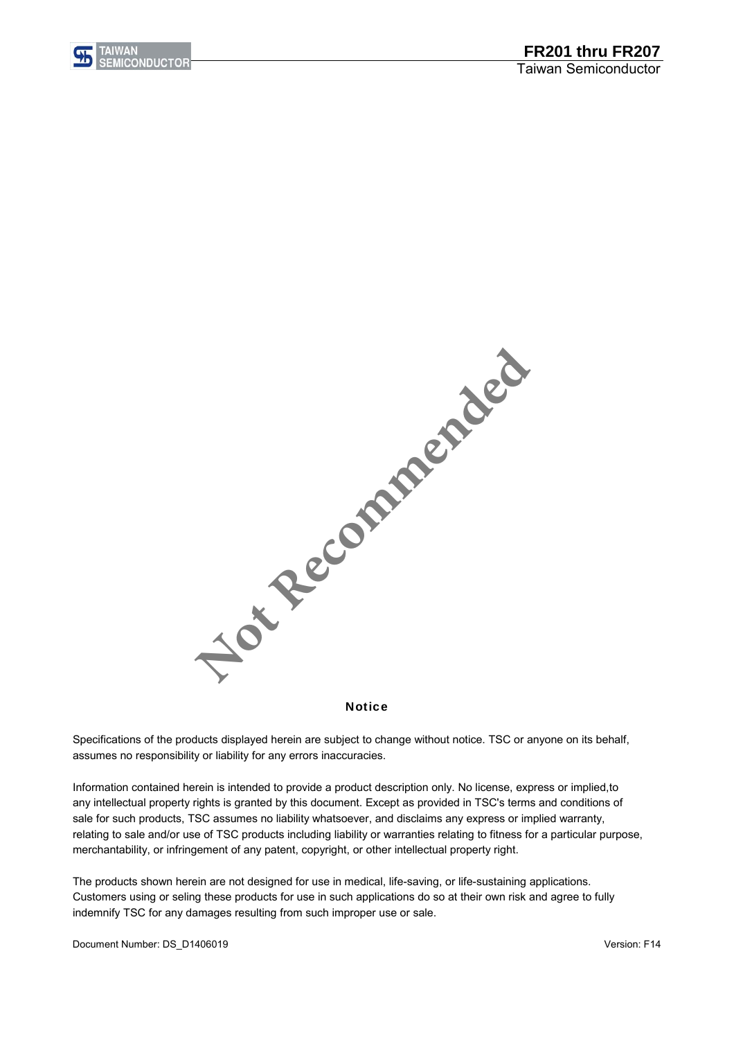



Notice

assumes no responsibility or liability for any errors inaccuracies. Specifications of the products displayed herein are subject to change without notice. TSC or anyone on its behalf,

Information contained herein is intended to provide a product description only. No license, express or implied,to any intellectual property rights is granted by this document. Except as provided in TSC's terms and conditions of sale for such products, TSC assumes no liability whatsoever, and disclaims any express or implied warranty, relating to sale and/or use of TSC products including liability or warranties relating to fitness for a particular purpose, merchantability, or infringement of any patent, copyright, or other intellectual property right.

The products shown herein are not designed for use in medical, life-saving, or life-sustaining applications. Customers using or seling these products for use in such applications do so at their own risk and agree to fully indemnify TSC for any damages resulting from such improper use or sale.

Document Number: DS\_D1406019 Version: F14